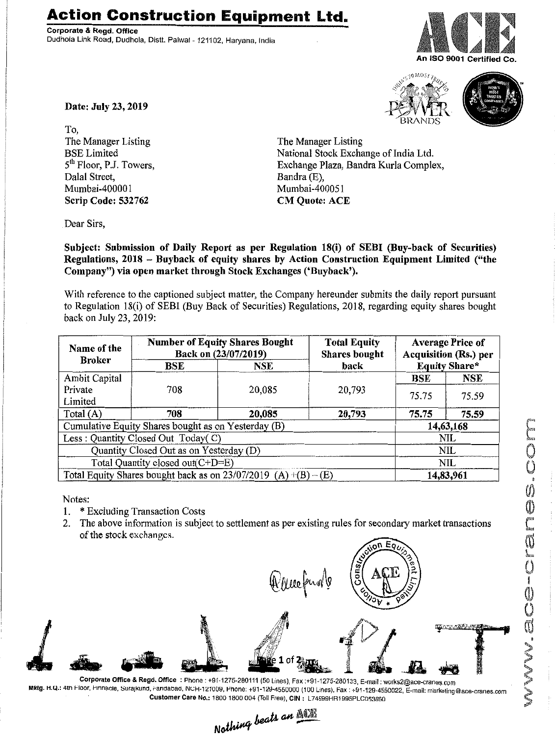## **Action Construction Equipment Ltd.**

Corporate & Regd. Office Dudhola Link Road, Dudhola, Distt. Palwal- 121102, Haryana, India







Date: July 23, 2019

To, The Manager Listing BSELimited 5<sup>th</sup> Floor, P.J. Towers, Dalal Street, Mumbai-400001 Scrip Code: 532762

The Manager Listing National Stock Exchange of India Ltd. Exchange Plaza, Bandra Kurla Complex, Bandra (E), Mumbai-400051 CM Quote: ACE

Dear Sirs,

Subject: Submission of Daily Report as per Regulation 18(i) of SEBI (Buy-back of Securities) Regulations, 2018 - Buyback of equity shares by Action Construction Equipment Limited ("the Company") via open market through Stock Exchanges ('Buyback').

With reference to the captioned subject matter, the Company hereunder submits the daily report pursuant to Regulation 18(i) of SEBI (Buy Back of Securities) Regulations, 2018, regarding equity shares bought back on July 23, 2019:

| Name of the<br><b>Broker</b>                                        | <b>Number of Equity Shares Bought</b><br>Back on (23/07/2019) |            | <b>Total Equity</b><br><b>Shares bought</b> | <b>Average Price of</b><br><b>Acquisition (Rs.) per</b> |            |  |
|---------------------------------------------------------------------|---------------------------------------------------------------|------------|---------------------------------------------|---------------------------------------------------------|------------|--|
|                                                                     | BSE                                                           | <b>NSE</b> | back                                        | <b>Equity Share*</b>                                    |            |  |
| Ambit Capital                                                       | 708                                                           | 20,085     | 20,793                                      | BSE                                                     | <b>NSE</b> |  |
| Private                                                             |                                                               |            |                                             | 75.75                                                   | 75.59      |  |
| Limited                                                             |                                                               |            |                                             |                                                         |            |  |
| Total (A)                                                           | 708                                                           | 20,085     | 20,793                                      | 75.75                                                   | 75.59      |  |
| Cumulative Equity Shares bought as on Yesterday (B)                 |                                                               |            |                                             |                                                         | 14,63,168  |  |
| Less: Quantity Closed Out Today(C)                                  |                                                               |            |                                             | NIL                                                     |            |  |
| Quantity Closed Out as on Yesterday (D)                             |                                                               |            |                                             | NIL                                                     |            |  |
| Total Quantity closed out(C+D=E)                                    |                                                               |            |                                             |                                                         | <b>NIL</b> |  |
| Total Equity Shares bought back as on $23/07/2019$ (A) $+(B) - (E)$ |                                                               |            |                                             | 14,83,961                                               |            |  |

Notes:

- 1. \* Excluding Transaction Costs
- 2. The above information is subject to settlement as per existing rules for secondary market transactions of the stock exchanges.

Queefung

Corporate Office & Regd. Office: Phone: +91-1275-280111 (50 Lines), Fax:+91-1275-280133, E-mail: works2@ace-cranes.com Mktg. H.Q.: 4th Floor, Pmnacle, Surajkund, Fandabad, NCH-121009, Phone: +91-129-4550000 (100 Lines), Fax: +91-129-4550022, E-mail: marketing@ace-cranes.com . Customer Care No.: 1800 1800004 (Toll Free), CIN : l74899HR1995PLC05386o

Nothing beats an **ACE**